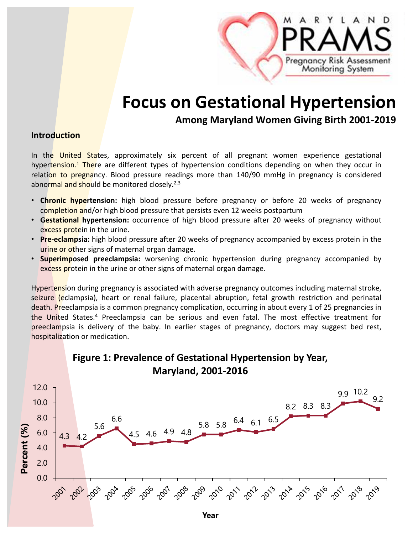

# **Focus on Gestational Hypertension**

**Among Maryland Women Giving Birth 2001‐2019**

### **Introduction**

In the United States, approximately six percent of all pregnant women experience gestational hypertension.<sup>1</sup> There are different types of hypertension conditions depending on when they occur in relation to pregnancy. Blood pressure readings more than 140/90 mmHg in pregnancy is considered abnormal and should be monitored closely.<sup>2,3</sup>

- **Chronic hypertension:** high blood pressure before pregnancy or before 20 weeks of pregnancy completion and/or high blood pressure that persists even 12 weeks postpartum
- **Gestational hypertension:** occurrence of high blood pressure after 20 weeks of pregnancy without excess protein in the urine.
- **Pre‐eclampsia:** high blood pressure after 20 weeks of pregnancy accompanied by excess protein in the urine or other signs of maternal organ damage.
- **Superimposed preeclampsia:** worsening chronic hypertension during pregnancy accompanied by excess protein in the urine or other signs of maternal organ damage.

Hypertension during pregnancy is associated with adverse pregnancy outcomes including maternal stroke, seizure (eclampsia), heart or renal failure, placental abruption, fetal growth restriction and perinatal death. Preeclampsia is a common pregnancy complication, occurring in about every 1 of 25 pregnancies in the United States.4 Preeclampsia can be serious and even fatal. The most effective treatment for preeclampsia is delivery of the baby. In earlier stages of pregnancy, doctors may suggest bed rest, hospitalization or medication.

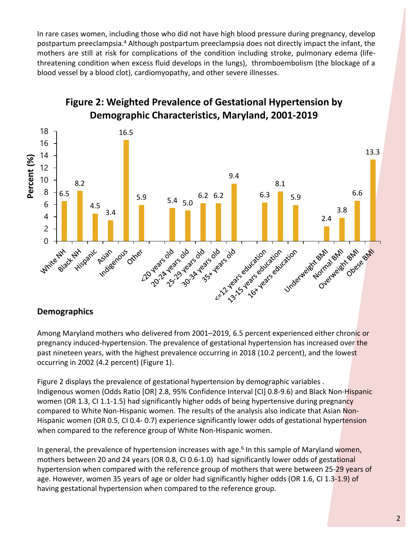In rare cases women, including those who did not have high blood pressure during pregnancy, develop postpartum preeclampsia.4 Although postpartum preeclampsia does not directly impact the infant, the mothers are still at risk for complications of the condition including stroke, pulmonary edema (life‐ threatening condition when excess fluid develops in the lungs), thromboembolism (the blockage of a blood vessel by a blood clot), cardiomyopathy, and other severe illnesses.



# **Figure 2: Weighted Prevalence of Gestational Hypertension by Demographic Characteristics, Maryland, 2001‐2019**

# **Demographics**

Among Maryland mothers who delivered from 2001–2019, 6.5 percent experienced either chronic or pregnancy induced-hypertension. The prevalence of gestational hypertension has increased over the past nineteen years, with the highest prevalence occurring in 2018 (10.2 percent), and the lowest occurring in 2002 (4.2 percent) (Figure 1).

Figure 2 displays the prevalence of gestational hypertension by demographic variables . Indigenous women (Odds Ratio [OR] 2.8, 95% Confidence Interval [CI] 0.8‐9.6) and Black Non‐Hispanic women (OR 1.3, CI 1.1-1.5) had significantly higher odds of being hypertensive during pregnancy compared to White Non-Hispanic women. The results of the analysis also indicate that Asian Non-Hispanic women (OR 0.5, CI 0.4‐ 0.7) experience significantly lower odds of gestational hypertension when compared to the reference group of White Non-Hispanic women.

In general, the prevalence of hypertension increases with age. $6$  In this sample of Maryland women, mothers between 20 and 24 years (OR 0.8, CI 0.6-1.0) had significantly lower odds of gestational hypertension when compared with the reference group of mothers that were between 25‐29 years of age. However, women 35 years of age or older had significantly higher odds (OR 1.6, CI 1.3-1.9) of having gestational hypertension when compared to the reference group.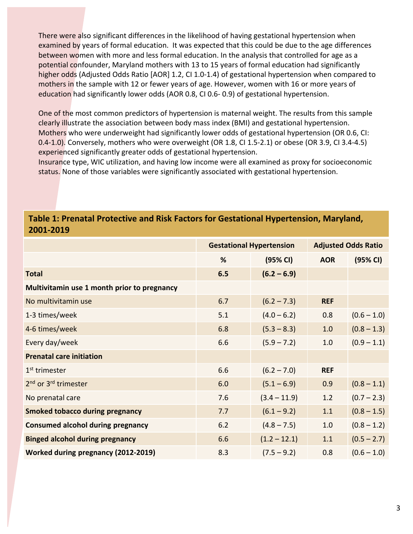There were also significant differences in the likelihood of having gestational hypertension when examined by years of formal education. It was expected that this could be due to the age differences between women with more and less formal education. In the analysis that controlled for age as a potential confounder, Maryland mothers with 13 to 15 years of formal education had significantly higher odds (Adjusted Odds Ratio [AOR] 1.2, CI 1.0-1.4) of gestational hypertension when compared to mothers in the sample with 12 or fewer years of age. However, women with 16 or more years of education had significantly lower odds (AOR 0.8, CI 0.6‐ 0.9) of gestational hypertension.

One of the most common predictors of hypertension is maternal weight. The results from this sample clearly illustrate the association between body mass index (BMI) and gestational hypertension. Mothers who were underweight had significantly lower odds of gestational hypertension (OR 0.6, CI: 0.4‐1.0). Conversely, mothers who were overweight (OR 1.8, CI 1.5‐2.1) or obese (OR 3.9, CI 3.4‐4.5) experienced significantly greater odds of gestational hypertension.

Insurance type, WIC utilization, and having low income were all examined as proxy for socioeconomic status. None of those variables were significantly associated with gestational hypertension.

## **Table 1: Prenatal Protective and Risk Factors for Gestational Hypertension, Maryland, 2001‐2019**

|                                              | <b>Gestational Hypertension</b> |                | <b>Adjusted Odds Ratio</b> |               |
|----------------------------------------------|---------------------------------|----------------|----------------------------|---------------|
|                                              | %                               | (95% CI)       | <b>AOR</b>                 | (95% CI)      |
| <b>Total</b>                                 | 6.5                             | $(6.2 - 6.9)$  |                            |               |
| Multivitamin use 1 month prior to pregnancy  |                                 |                |                            |               |
| No multivitamin use                          | 6.7                             | $(6.2 - 7.3)$  | <b>REF</b>                 |               |
| 1-3 times/week                               | 5.1                             | $(4.0 - 6.2)$  | 0.8                        | $(0.6 - 1.0)$ |
| 4-6 times/week                               | 6.8                             | $(5.3 - 8.3)$  | 1.0                        | $(0.8 - 1.3)$ |
| Every day/week                               | 6.6                             | $(5.9 - 7.2)$  | 1.0                        | $(0.9 - 1.1)$ |
| <b>Prenatal care initiation</b>              |                                 |                |                            |               |
| 1 <sup>st</sup> trimester                    | 6.6                             | $(6.2 - 7.0)$  | <b>REF</b>                 |               |
| 2 <sup>nd</sup> or 3 <sup>rd</sup> trimester | 6.0                             | $(5.1 - 6.9)$  | 0.9                        | $(0.8 - 1.1)$ |
| No prenatal care                             | 7.6                             | $(3.4 - 11.9)$ | 1.2                        | $(0.7 - 2.3)$ |
| <b>Smoked tobacco during pregnancy</b>       | 7.7                             | $(6.1 - 9.2)$  | 1.1                        | $(0.8 - 1.5)$ |
| <b>Consumed alcohol during pregnancy</b>     | 6.2                             | $(4.8 - 7.5)$  | 1.0                        | $(0.8 - 1.2)$ |
| <b>Binged alcohol during pregnancy</b>       | 6.6                             | $(1.2 - 12.1)$ | 1.1                        | $(0.5 - 2.7)$ |
| <b>Worked during pregnancy (2012-2019)</b>   | 8.3                             | $(7.5 - 9.2)$  | 0.8                        | $(0.6 - 1.0)$ |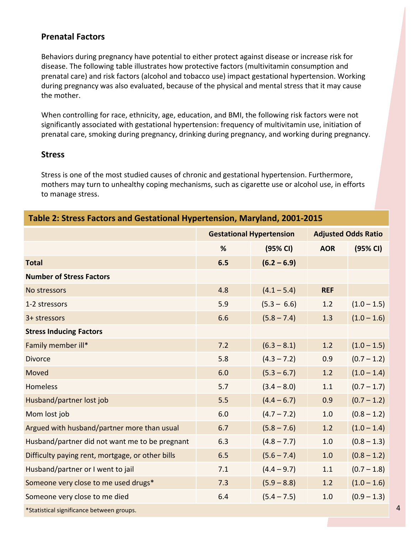### **Prenatal Factors**

Behaviors during pregnancy have potential to either protect against disease or increase risk for disease. The following table illustrates how protective factors (multivitamin consumption and prenatal care) and risk factors (alcohol and tobacco use) impact gestational hypertension. Working during pregnancy was also evaluated, because of the physical and mental stress that it may cause the mother.

When controlling for race, ethnicity, age, education, and BMI, the following risk factors were not significantly associated with gestational hypertension: frequency of multivitamin use, initiation of prenatal care, smoking during pregnancy, drinking during pregnancy, and working during pregnancy.

### **Stress**

Stress is one of the most studied causes of chronic and gestational hypertension. Furthermore, mothers may turn to unhealthy coping mechanisms, such as cigarette use or alcohol use, in efforts to manage stress.

| Table 2: Stress Factors and Gestational Hypertension, Maryland, 2001-2015 |                                 |               |                            |               |  |
|---------------------------------------------------------------------------|---------------------------------|---------------|----------------------------|---------------|--|
|                                                                           | <b>Gestational Hypertension</b> |               | <b>Adjusted Odds Ratio</b> |               |  |
|                                                                           | %                               | (95% CI)      | <b>AOR</b>                 | (95% CI)      |  |
| <b>Total</b>                                                              | 6.5                             | $(6.2 - 6.9)$ |                            |               |  |
| <b>Number of Stress Factors</b>                                           |                                 |               |                            |               |  |
| No stressors                                                              | 4.8                             | $(4.1 - 5.4)$ | <b>REF</b>                 |               |  |
| 1-2 stressors                                                             | 5.9                             | $(5.3 - 6.6)$ | 1.2                        | $(1.0 - 1.5)$ |  |
| 3+ stressors                                                              | 6.6                             | $(5.8 - 7.4)$ | 1.3                        | $(1.0 - 1.6)$ |  |
| <b>Stress Inducing Factors</b>                                            |                                 |               |                            |               |  |
| Family member ill*                                                        | 7.2                             | $(6.3 - 8.1)$ | 1.2                        | $(1.0 - 1.5)$ |  |
| <b>Divorce</b>                                                            | 5.8                             | $(4.3 - 7.2)$ | 0.9                        | $(0.7 - 1.2)$ |  |
| Moved                                                                     | 6.0                             | $(5.3 - 6.7)$ | 1.2                        | $(1.0 - 1.4)$ |  |
| <b>Homeless</b>                                                           | 5.7                             | $(3.4 - 8.0)$ | 1.1                        | $(0.7 - 1.7)$ |  |
| Husband/partner lost job                                                  | 5.5                             | $(4.4 - 6.7)$ | 0.9                        | $(0.7 - 1.2)$ |  |
| Mom lost job                                                              | 6.0                             | $(4.7 - 7.2)$ | 1.0                        | $(0.8 - 1.2)$ |  |
| Argued with husband/partner more than usual                               | 6.7                             | $(5.8 - 7.6)$ | 1.2                        | $(1.0 - 1.4)$ |  |
| Husband/partner did not want me to be pregnant                            | 6.3                             | $(4.8 - 7.7)$ | 1.0                        | $(0.8 - 1.3)$ |  |
| Difficulty paying rent, mortgage, or other bills                          | 6.5                             | $(5.6 - 7.4)$ | 1.0                        | $(0.8 - 1.2)$ |  |
| Husband/partner or I went to jail                                         | 7.1                             | $(4.4 - 9.7)$ | 1.1                        | $(0.7 - 1.8)$ |  |
| Someone very close to me used drugs*                                      | 7.3                             | $(5.9 - 8.8)$ | 1.2                        | $(1.0 - 1.6)$ |  |
| Someone very close to me died                                             | 6.4                             | $(5.4 - 7.5)$ | 1.0                        | $(0.9 - 1.3)$ |  |
| *Statistical significance between groups.                                 |                                 |               |                            |               |  |

4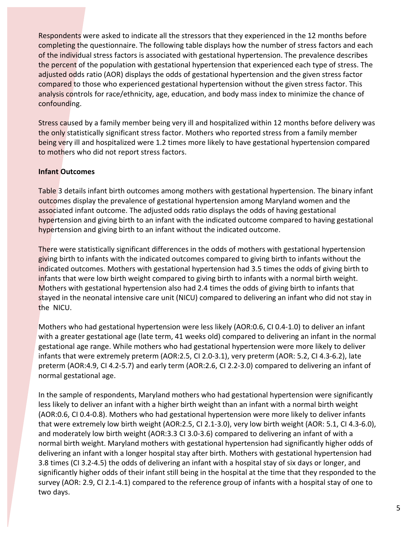Respondents were asked to indicate all the stressors that they experienced in the 12 months before completing the questionnaire. The following table displays how the number of stress factors and each of the individual stress factors is associated with gestational hypertension. The prevalence describes the percent of the population with gestational hypertension that experienced each type of stress. The adjusted odds ratio (AOR) displays the odds of gestational hypertension and the given stress factor compared to those who experienced gestational hypertension without the given stress factor. This analysis controls for race/ethnicity, age, education, and body mass index to minimize the chance of confounding.

Stress caused by a family member being very ill and hospitalized within 12 months before delivery was the only statistically significant stress factor. Mothers who reported stress from a family member being very ill and hospitalized were 1.2 times more likely to have gestational hypertension compared to mothers who did not report stress factors.

### **Infant Outcomes**

Table 3 details infant birth outcomes among mothers with gestational hypertension. The binary infant outcomes display the prevalence of gestational hypertension among Maryland women and the associated infant outcome. The adjusted odds ratio displays the odds of having gestational hypertension and giving birth to an infant with the indicated outcome compared to having gestational hypertension and giving birth to an infant without the indicated outcome.

There were statistically significant differences in the odds of mothers with gestational hypertension giving birth to infants with the indicated outcomes compared to giving birth to infants without the indicated outcomes. Mothers with gestational hypertension had 3.5 times the odds of giving birth to infants that were low birth weight compared to giving birth to infants with a normal birth weight. Mothers with gestational hypertension also had 2.4 times the odds of giving birth to infants that stayed in the neonatal intensive care unit (NICU) compared to delivering an infant who did not stay in the NICU.

Mothers who had gestational hypertension were less likely (AOR:0.6, CI 0.4‐1.0) to deliver an infant with a greater gestational age (late term, 41 weeks old) compared to delivering an infant in the normal gestational age range. While mothers who had gestational hypertension were more likely to deliver infants that were extremely preterm (AOR:2.5, CI 2.0‐3.1), very preterm (AOR: 5.2, CI 4.3‐6.2), late preterm (AOR:4.9, CI 4.2‐5.7) and early term (AOR:2.6, CI 2.2‐3.0) compared to delivering an infant of normal gestational age.

In the sample of respondents, Maryland mothers who had gestational hypertension were significantly less likely to deliver an infant with a higher birth weight than an infant with a normal birth weight (AOR:0.6, CI 0.4‐0.8). Mothers who had gestational hypertension were more likely to deliver infants that were extremely low birth weight (AOR:2.5, CI 2.1‐3.0), very low birth weight (AOR: 5.1, CI 4.3‐6.0), and moderately low birth weight (AOR:3.3 CI 3.0‐3.6) compared to delivering an infant of with a normal birth weight. Maryland mothers with gestational hypertension had significantly higher odds of delivering an infant with a longer hospital stay after birth. Mothers with gestational hypertension had 3.8 times (CI 3.2‐4.5) the odds of delivering an infant with a hospital stay of six days or longer, and significantly higher odds of their infant still being in the hospital at the time that they responded to the survey (AOR: 2.9, CI 2.1‐4.1) compared to the reference group of infants with a hospital stay of one to two days.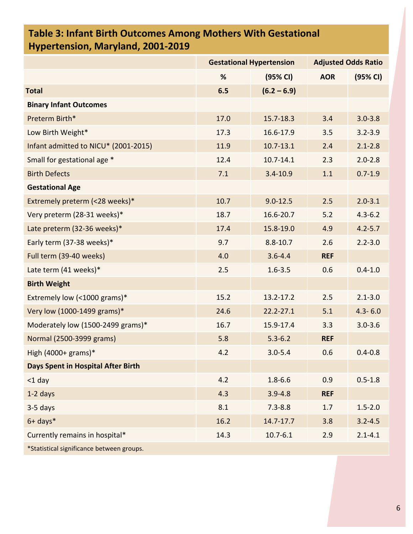# **Table 3: Infant Birth Outcomes Among Mothers With Gestational Hypertension, Maryland, 2001‐2019**

|                                           | <b>Gestational Hypertension</b> |               | <b>Adjusted Odds Ratio</b> |             |
|-------------------------------------------|---------------------------------|---------------|----------------------------|-------------|
|                                           | %                               | (95% CI)      | <b>AOR</b>                 | (95% CI)    |
| <b>Total</b>                              | 6.5                             | $(6.2 - 6.9)$ |                            |             |
| <b>Binary Infant Outcomes</b>             |                                 |               |                            |             |
| Preterm Birth*                            | 17.0                            | 15.7-18.3     | 3.4                        | $3.0 - 3.8$ |
| Low Birth Weight*                         | 17.3                            | 16.6-17.9     | 3.5                        | $3.2 - 3.9$ |
| Infant admitted to NICU* (2001-2015)      | 11.9                            | $10.7 - 13.1$ | 2.4                        | $2.1 - 2.8$ |
| Small for gestational age *               | 12.4                            | $10.7 - 14.1$ | 2.3                        | $2.0 - 2.8$ |
| <b>Birth Defects</b>                      | 7.1                             | $3.4 - 10.9$  | 1.1                        | $0.7 - 1.9$ |
| <b>Gestational Age</b>                    |                                 |               |                            |             |
| Extremely preterm (<28 weeks)*            | 10.7                            | $9.0 - 12.5$  | 2.5                        | $2.0 - 3.1$ |
| Very preterm (28-31 weeks)*               | 18.7                            | 16.6-20.7     | 5.2                        | $4.3 - 6.2$ |
| Late preterm (32-36 weeks)*               | 17.4                            | 15.8-19.0     | 4.9                        | $4.2 - 5.7$ |
| Early term (37-38 weeks)*                 | 9.7                             | $8.8 - 10.7$  | 2.6                        | $2.2 - 3.0$ |
| Full term (39-40 weeks)                   | 4.0                             | $3.6 - 4.4$   | <b>REF</b>                 |             |
| Late term (41 weeks)*                     | 2.5                             | $1.6 - 3.5$   | 0.6                        | $0.4 - 1.0$ |
| <b>Birth Weight</b>                       |                                 |               |                            |             |
| Extremely low (<1000 grams)*              | 15.2                            | 13.2-17.2     | 2.5                        | $2.1 - 3.0$ |
| Very low (1000-1499 grams)*               | 24.6                            | $22.2 - 27.1$ | 5.1                        | $4.3 - 6.0$ |
| Moderately low (1500-2499 grams)*         | 16.7                            | 15.9-17.4     | 3.3                        | $3.0 - 3.6$ |
| Normal (2500-3999 grams)                  | 5.8                             | $5.3 - 6.2$   | <b>REF</b>                 |             |
| High $(4000+$ grams)*                     | 4.2                             | $3.0 - 5.4$   | 0.6                        | $0.4 - 0.8$ |
| <b>Days Spent in Hospital After Birth</b> |                                 |               |                            |             |
| $<$ 1 day                                 | 4.2                             | $1.8 - 6.6$   | 0.9                        | $0.5 - 1.8$ |
| $1-2$ days                                | 4.3                             | $3.9 - 4.8$   | <b>REF</b>                 |             |
| $3-5$ days                                | 8.1                             | $7.3 - 8.8$   | 1.7                        | $1.5 - 2.0$ |
| $6+$ days $*$                             | 16.2                            | 14.7-17.7     | 3.8                        | $3.2 - 4.5$ |
| Currently remains in hospital*            | 14.3                            | $10.7 - 6.1$  | 2.9                        | $2.1 - 4.1$ |
| *Statistical significance between groups. |                                 |               |                            |             |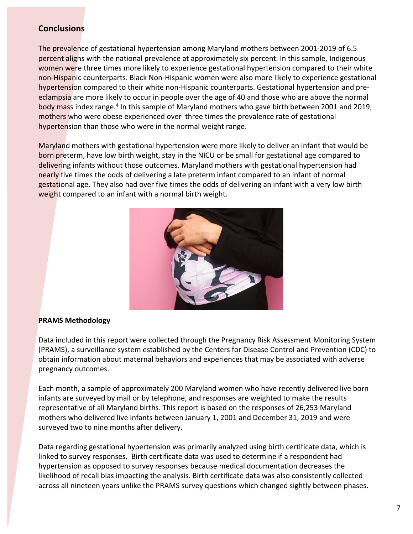### **Conclusions**

The prevalence of gestational hypertension among Maryland mothers between 2001‐2019 of 6.5 percent aligns with the national prevalence at approximately six percent. In this sample, Indigenous women were three times more likely to experience gestational hypertension compared to their white non-Hispanic counterparts. Black Non-Hispanic women were also more likely to experience gestational hypertension compared to their white non-Hispanic counterparts. Gestational hypertension and preeclampsia are more likely to occur in people over the age of 40 and those who are above the normal body mass index range.<sup>4</sup> In this sample of Maryland mothers who gave birth between 2001 and 2019, mothers who were obese experienced over three times the prevalence rate of gestational hypertension than those who were in the normal weight range.

Maryland mothers with gestational hypertension were more likely to deliver an infant that would be born preterm, have low birth weight, stay in the NICU or be small for gestational age compared to delivering infants without those outcomes. Maryland mothers with gestational hypertension had nearly five times the odds of delivering a late preterm infant compared to an infant of normal gestational age. They also had over five times the odds of delivering an infant with a very low birth weight compared to an infant with a normal birth weight.



### **PRAMS Methodology**

Data included in this report were collected through the Pregnancy Risk Assessment Monitoring System (PRAMS), a surveillance system established by the Centers for Disease Control and Prevention (CDC) to obtain information about maternal behaviors and experiences that may be associated with adverse pregnancy outcomes.

Each month, a sample of approximately 200 Maryland women who have recently delivered live born infants are surveyed by mail or by telephone, and responses are weighted to make the results representative of all Maryland births. This report is based on the responses of 26,253 Maryland mothers who delivered live infants between January 1, 2001 and December 31, 2019 and were surveyed two to nine months after delivery.

Data regarding gestational hypertension was primarily analyzed using birth certificate data, which is linked to survey responses. Birth certificate data was used to determine if a respondent had hypertension as opposed to survey responses because medical documentation decreases the likelihood of recall bias impacting the analysis. Birth certificate data was also consistently collected across all nineteen years unlike the PRAMS survey questions which changed sightly between phases.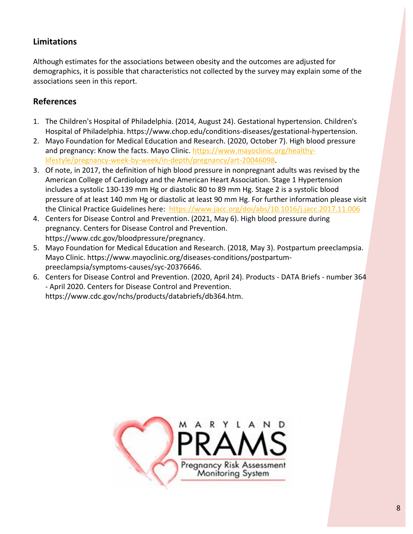# **Limitations**

Although estimates for the associations between obesity and the outcomes are adjusted for demographics, it is possible that characteristics not collected by the survey may explain some of the associations seen in this report.

# **References**

- 1. The Children's Hospital of Philadelphia. (2014, August 24). Gestational hypertension. Children's Hospital of Philadelphia. https://www.chop.edu/conditions‐diseases/gestational‐hypertension.
- 2. Mayo Foundation for Medical Education and Research. (2020, October 7). High blood pressure and pregnancy: Know the facts. Mayo Clinic. https://www.mayoclinic.org/healthylifestyle/pregnancy‐week‐by‐week/in‐depth/pregnancy/art‐20046098.
- 3. Of note, in 2017, the definition of high blood pressure in nonpregnant adults was revised by the American College of Cardiology and the American Heart Association. Stage 1 Hypertension includes a systolic 130‐139 mm Hg or diastolic 80 to 89 mm Hg. Stage 2 is a systolic blood pressure of at least 140 mm Hg or diastolic at least 90 mm Hg. For further information please visit the Clinical Practice Guidelines here: https://www.jacc.org/doi/abs/10.1016/j.jacc.2017.11.006
- 4. Centers for Disease Control and Prevention. (2021, May 6). High blood pressure during pregnancy. Centers for Disease Control and Prevention. https://www.cdc.gov/bloodpressure/pregnancy.
- 5. Mayo Foundation for Medical Education and Research. (2018, May 3). Postpartum preeclampsia. Mayo Clinic. https://www.mayoclinic.org/diseases‐conditions/postpartum‐ preeclampsia/symptoms‐causes/syc‐20376646.
- 6. Centers for Disease Control and Prevention. (2020, April 24). Products ‐ DATA Briefs ‐ number 364 ‐ April 2020. Centers for Disease Control and Prevention. https://www.cdc.gov/nchs/products/databriefs/db364.htm.